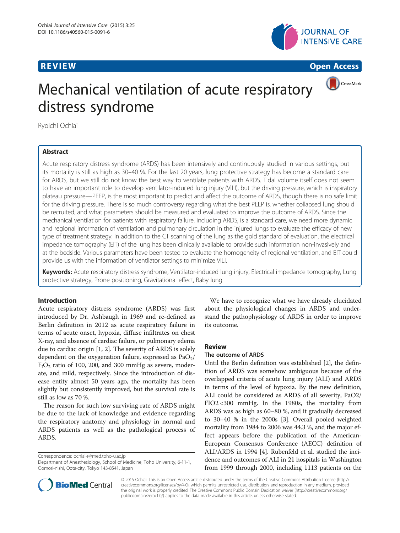

**REVIEW CONSTRUCTION CONSTRUCTION CONSTRUCTS** 



# Mechanical ventilation of acute respiratory distress syndrome

Ryoichi Ochiai

# Abstract

Acute respiratory distress syndrome (ARDS) has been intensively and continuously studied in various settings, but its mortality is still as high as 30–40 %. For the last 20 years, lung protective strategy has become a standard care for ARDS, but we still do not know the best way to ventilate patients with ARDS. Tidal volume itself does not seem to have an important role to develop ventilator-induced lung injury (VILI), but the driving pressure, which is inspiratory plateau pressure—PEEP, is the most important to predict and affect the outcome of ARDS, though there is no safe limit for the driving pressure. There is so much controversy regarding what the best PEEP is, whether collapsed lung should be recruited, and what parameters should be measured and evaluated to improve the outcome of ARDS. Since the mechanical ventilation for patients with respiratory failure, including ARDS, is a standard care, we need more dynamic and regional information of ventilation and pulmonary circulation in the injured lungs to evaluate the efficacy of new type of treatment strategy. In addition to the CT scanning of the lung as the gold standard of evaluation, the electrical impedance tomography (EIT) of the lung has been clinically available to provide such information non-invasively and at the bedside. Various parameters have been tested to evaluate the homogeneity of regional ventilation, and EIT could provide us with the information of ventilator settings to minimize VILI.

Keywords: Acute respiratory distress syndrome, Ventilator-induced lung injury, Electrical impedance tomography, Lung protective strategy, Prone positioning, Gravitational effect, Baby lung

# Introduction

Acute respiratory distress syndrome (ARDS) was first introduced by Dr. Ashbaugh in 1969 and re-defined as Berlin definition in 2012 as acute respiratory failure in terms of acute onset, hypoxia, diffuse infiltrates on chest X-ray, and absence of cardiac failure, or pulmonary edema due to cardiac origin [\[1](#page-7-0), [2\]](#page-7-0). The severity of ARDS is solely dependent on the oxygenation failure, expressed as  $PaO<sub>2</sub>/$  $F_1O_2$  ratio of 100, 200, and 300 mmHg as severe, moderate, and mild, respectively. Since the introduction of disease entity almost 50 years ago, the mortality has been slightly but consistently improved, but the survival rate is still as low as 70 %.

The reason for such low surviving rate of ARDS might be due to the lack of knowledge and evidence regarding the respiratory anatomy and physiology in normal and ARDS patients as well as the pathological process of ARDS.

Correspondence: [ochiai-r@med.toho-u.ac.jp](mailto:ochiai-r@med.toho-u.ac.jp)

We have to recognize what we have already elucidated about the physiological changes in ARDS and understand the pathophysiology of ARDS in order to improve its outcome.

# Review

# The outcome of ARDS

Until the Berlin definition was established [[2\]](#page-7-0), the definition of ARDS was somehow ambiguous because of the overlapped criteria of acute lung injury (ALI) and ARDS in terms of the level of hypoxia. By the new definition, ALI could be considered as ARDS of all severity, PaO2/ FIO2 <300 mmHg. In the 1980s, the mortality from ARDS was as high as 60–80 %, and it gradually decreased to 30–40 % in the 2000s [\[3](#page-7-0)]. Overall pooled weighted mortality from 1984 to 2006 was 44.3 %, and the major effect appears before the publication of the American-European Consensus Conference (AECC) definition of ALI/ARDS in 1994 [[4\]](#page-7-0). Rubenfeld et al. studied the incidence and outcomes of ALI in 21 hospitals in Washington from 1999 through 2000, including 1113 patients on the



© 2015 Ochiai. This is an Open Access article distributed under the terms of the Creative Commons Attribution License [\(http://](http://creativecommons.org/licenses/by/4.0) [creativecommons.org/licenses/by/4.0](http://creativecommons.org/licenses/by/4.0)), which permits unrestricted use, distribution, and reproduction in any medium, provided the original work is properly credited. The Creative Commons Public Domain Dedication waiver ([http://creativecommons.org/](http://creativecommons.org/publicdomain/zero/1.0/) [publicdomain/zero/1.0/\)](http://creativecommons.org/publicdomain/zero/1.0/) applies to the data made available in this article, unless otherwise stated.

Department of Anesthesiology, School of Medicine, Toho University, 6-11-1, Oomori-nishi, Oota-city, Tokyo 143-8541, Japan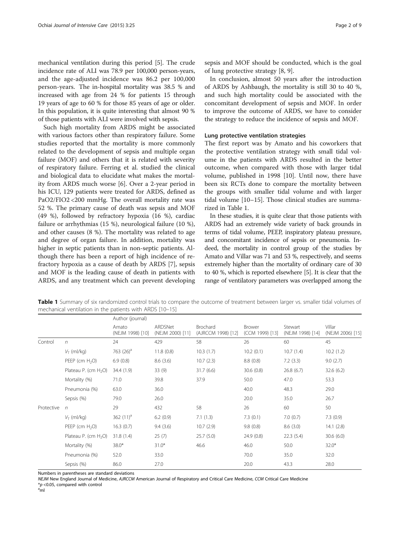mechanical ventilation during this period [[5\]](#page-7-0). The crude incidence rate of ALI was 78.9 per 100,000 person-years, and the age-adjusted incidence was 86.2 per 100,000 person-years. The in-hospital mortality was 38.5 % and increased with age from 24 % for patients 15 through 19 years of age to 60 % for those 85 years of age or older. In this population, it is quite interesting that almost 90 % of those patients with ALI were involved with sepsis.

Such high mortality from ARDS might be associated with various factors other than respiratory failure. Some studies reported that the mortality is more commonly related to the development of sepsis and multiple organ failure (MOF) and others that it is related with severity of respiratory failure. Ferring et al. studied the clinical and biological data to elucidate what makes the mortality from ARDS much worse [\[6\]](#page-7-0). Over a 2-year period in his ICU, 129 patients were treated for ARDS, defined as PaO2/FIO2 <200 mmHg. The overall mortality rate was 52 %. The primary cause of death was sepsis and MOF (49 %), followed by refractory hypoxia (16 %), cardiac failure or arrhythmias (15 %), neurological failure (10 %), and other causes (8 %). The mortality was related to age and degree of organ failure. In addition, mortality was higher in septic patients than in non-septic patients. Although there has been a report of high incidence of refractory hypoxia as a cause of death by ARDS [\[7](#page-7-0)], sepsis and MOF is the leading cause of death in patients with ARDS, and any treatment which can prevent developing

sepsis and MOF should be conducted, which is the goal of lung protective strategy [\[8, 9\]](#page-7-0).

In conclusion, almost 50 years after the introduction of ARDS by Ashbaugh, the mortality is still 30 to 40 %, and such high mortality could be associated with the concomitant development of sepsis and MOF. In order to improve the outcome of ARDS, we have to consider the strategy to reduce the incidence of sepsis and MOF.

# Lung protective ventilation strategies

The first report was by Amato and his coworkers that the protective ventilation strategy with small tidal volume in the patients with ARDS resulted in the better outcome, when compared with those with larger tidal volume, published in 1998 [\[10](#page-7-0)]. Until now, there have been six RCTs done to compare the mortality between the groups with smaller tidal volume and with larger tidal volume [[10](#page-7-0)–[15](#page-7-0)]. Those clinical studies are summarized in Table 1.

In these studies, it is quite clear that those patients with ARDS had an extremely wide variety of back grounds in terms of tidal volume, PEEP, inspiratory plateau pressure, and concomitant incidence of sepsis or pneumonia. Indeed, the mortality in control group of the studies by Amato and Villar was 71 and 53 %, respectively, and seems extremely higher than the mortality of ordinary care of 30 to 40 %, which is reported elsewhere [[5](#page-7-0)]. It is clear that the range of ventilatory parameters was overlapped among the

| THECHALICAL VEHICATION IN THE DATENTS WILL AND J TU-TJT |                           |                             |                                       |                           |                             |                            |
|---------------------------------------------------------|---------------------------|-----------------------------|---------------------------------------|---------------------------|-----------------------------|----------------------------|
|                                                         | Author (journal)          |                             |                                       |                           |                             |                            |
|                                                         | Amato<br>(NEJM 1998) [10] | ARDSNet<br>(NEJM 2000) [11] | <b>Brochard</b><br>(AJRCCM 1998) [12] | Brower<br>(CCM 1999) [13] | Stewart<br>(NEJM 1998) [14] | Villar<br>(NEJM 2006) [15] |
| $\sqrt{n}$                                              | 24                        | 429                         | 58                                    | 26                        | 60                          | 45                         |
| $V_T$ (ml/kg)                                           | 763 $(26)^a$              | 11.8(0.8)                   | 10.3(1.7)                             | 10.2(0.1)                 | 10.7(1.4)                   | 10.2(1.2)                  |
| PEEP (cm H <sub>2</sub> O)                              | 6.9(0.8)                  | 8.6(3.6)                    | 10.7(2.3)                             | 8.8(0.8)                  | 7.2(3.3)                    | 9.0(2.7)                   |
| Plateau P. (cm $H_2O$ )                                 | 34.4 (1.9)                | 33(9)                       | 31.7(6.6)                             | 30.6(0.8)                 | 26.8(6.7)                   | 32.6(6.2)                  |
| Mortality (%)                                           | 71.0                      | 39.8                        | 37.9                                  | 50.0                      | 47.0                        | 53.3                       |
| Pneumonia (%)                                           | 63.0                      | 36.0                        |                                       | 40.0                      | 48.3                        | 29.0                       |
| Sepsis (%)                                              | 79.0                      | 26.0                        |                                       | 20.0                      | 35.0                        | 26.7                       |
| $\sqrt{n}$                                              | 29                        | 432                         | 58                                    | 26                        | 60                          | 50                         |
| $V_T$ (ml/kg)                                           | 362 $(11)^{a}$            | 6.2(0.9)                    | 7.1(1.3)                              | 7.3(0.1)                  | 7.0(0.7)                    | 7.3(0.9)                   |
| PEEP (cm $H_2O$ )                                       | 16.3(0.7)                 | 9.4(3.6)                    | 10.7(2.9)                             | 9.8(0.8)                  | 8.6(3.0)                    | 14.1(2.8)                  |
| Plateau P. (cm $H_2O$ )                                 | 31.8(1.4)                 | 25(7)                       | 25.7(5.0)                             | 24.9(0.8)                 | 22.3(5.4)                   | 30.6(6.0)                  |
| Mortality (%)                                           | 38.0*                     | $31.0*$                     | 46.6                                  | 46.0                      | 50.0                        | $32.0*$                    |
| Pneumonia (%)                                           | 52.0                      | 33.0                        |                                       | 70.0                      | 35.0                        | 32.0                       |
| Sepsis (%)                                              | 86.0                      | 27.0                        |                                       | 20.0                      | 43.3                        | 28.0                       |
|                                                         |                           |                             |                                       |                           |                             |                            |

Table 1 Summary of six randomized control trials to compare the outcome of treatment between larger vs. smaller tidal volumes of mechanical ventilation in the patients with ARDS [\[10](#page-7-0)–[15\]](#page-7-0)

Numbers in parentheses are standard deviations

NEJM New England Journal of Medicine, AJRCCM American Journal of Respiratory and Critical Care Medicine, CCM Critical Care Medicine  $*p$  <0.05, compared with control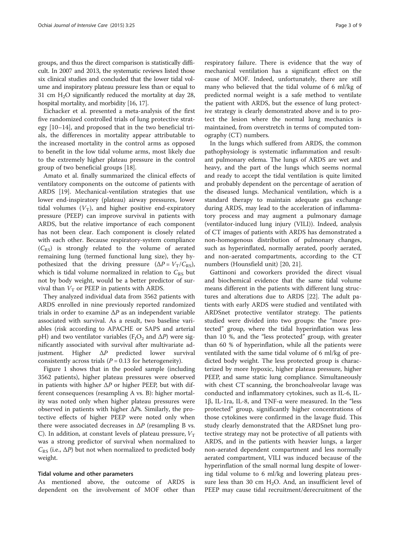groups, and thus the direct comparison is statistically difficult. In 2007 and 2013, the systematic reviews listed those six clinical studies and concluded that the lower tidal volume and inspiratory plateau pressure less than or equal to 31 cm  $H<sub>2</sub>O$  significantly reduced the mortality at day 28, hospital mortality, and morbidity [[16](#page-7-0), [17](#page-7-0)].

Eichacker et al. presented a meta-analysis of the first five randomized controlled trials of lung protective strategy [[10](#page-7-0)–[14](#page-7-0)], and proposed that in the two beneficial trials, the differences in mortality appear attributable to the increased mortality in the control arms as opposed to benefit in the low tidal volume arms, most likely due to the extremely higher plateau pressure in the control group of two beneficial groups [\[18\]](#page-7-0).

Amato et al. finally summarized the clinical effects of ventilatory components on the outcome of patients with ARDS [[19\]](#page-7-0). Mechanical-ventilation strategies that use lower end-inspiratory (plateau) airway pressures, lower tidal volumes  $(V_T)$ , and higher positive end-expiratory pressure (PEEP) can improve survival in patients with ARDS, but the relative importance of each component has not been clear. Each component is closely related with each other. Because respiratory-system compliance  $(C_{RS})$  is strongly related to the volume of aerated remaining lung (termed functional lung size), they hypothesized that the driving pressure  $(\Delta P = V_T/C_{RS})$ , which is tidal volume normalized in relation to  $C_{RS}$  but not by body weight, would be a better predictor of survival than  $V_T$  or PEEP in patients with ARDS.

They analyzed individual data from 3562 patients with ARDS enrolled in nine previously reported randomized trials in order to examine  $\Delta P$  as an independent variable associated with survival. As a result, two baseline variables (risk according to APACHE or SAPS and arterial pH) and two ventilator variables ( $F_1O_2$  and  $\Delta P$ ) were significantly associated with survival after multivariate adjustment. Higher  $\Delta P$  predicted lower survival consistently across trials ( $P = 0.13$  for heterogeneity).

Figure [1](#page-3-0) shows that in the pooled sample (including 3562 patients), higher plateau pressures were observed in patients with higher  $\Delta P$  or higher PEEP, but with different consequences (resampling A vs. B): higher mortality was noted only when higher plateau pressures were observed in patients with higher  $\Delta P$ s. Similarly, the protective effects of higher PEEP were noted only when there were associated decreases in  $\Delta P$  (resampling B vs. C). In addition, at constant levels of plateau pressure,  $V<sub>T</sub>$ was a strong predictor of survival when normalized to  $C_{RS}$  (i.e.,  $\Delta P$ ) but not when normalized to predicted body weight.

### Tidal volume and other parameters

As mentioned above, the outcome of ARDS is dependent on the involvement of MOF other than

respiratory failure. There is evidence that the way of mechanical ventilation has a significant effect on the cause of MOF. Indeed, unfortunately, there are still many who believed that the tidal volume of 6 ml/kg of predicted normal weight is a safe method to ventilate the patient with ARDS, but the essence of lung protective strategy is clearly demonstrated above and is to protect the lesion where the normal lung mechanics is maintained, from overstretch in terms of computed tomography (CT) numbers.

In the lungs which suffered from ARDS, the common pathophysiology is systematic inflammation and resultant pulmonary edema. The lungs of ARDS are wet and heavy, and the part of the lungs which seems normal and ready to accept the tidal ventilation is quite limited and probably dependent on the percentage of aeration of the diseased lungs. Mechanical ventilation, which is a standard therapy to maintain adequate gas exchange during ARDS, may lead to the acceleration of inflammatory process and may augment a pulmonary damage (ventilator-induced lung injury (VILI)). Indeed, analysis of CT images of patients with ARDS has demonstrated a non-homogenous distribution of pulmonary changes, such as hyperinflated, normally aerated, poorly aerated, and non-aerated compartments, according to the CT numbers (Hounsfield unit) [\[20](#page-8-0), [21\]](#page-8-0).

Gattinoni and coworkers provided the direct visual and biochemical evidence that the same tidal volume means different in the patients with different lung structures and alterations due to ARDS [\[22](#page-8-0)]. The adult patients with early ARDS were studied and ventilated with ARDSnet protective ventilator strategy. The patients studied were divided into two groups: the "more protected" group, where the tidal hyperinflation was less than 10 %, and the "less protected" group, with greater than 60 % of hyperinflation, while all the patients were ventilated with the same tidal volume of 6 ml/kg of predicted body weight. The less protected group is characterized by more hypoxic, higher plateau pressure, higher PEEP, and same static lung compliance. Simultaneously with chest CT scanning, the bronchoalveolar lavage was conducted and inflammatory cytokines, such as IL-6, IL-1β, IL-1ra, IL-8, and TNF-α were measured. In the "less protected" group, significantly higher concentrations of those cytokines were confirmed in the lavage fluid. This study clearly demonstrated that the ARDSnet lung protective strategy may not be protective of all patients with ARDS, and in the patients with heavier lungs, a larger non-aerated dependent compartment and less normally aerated compartment, VILI was induced because of the hyperinflation of the small normal lung despite of lowering tidal volume to 6 ml/kg and lowering plateau pressure less than 30 cm  $H_2O$ . And, an insufficient level of PEEP may cause tidal recruitment/derecruitment of the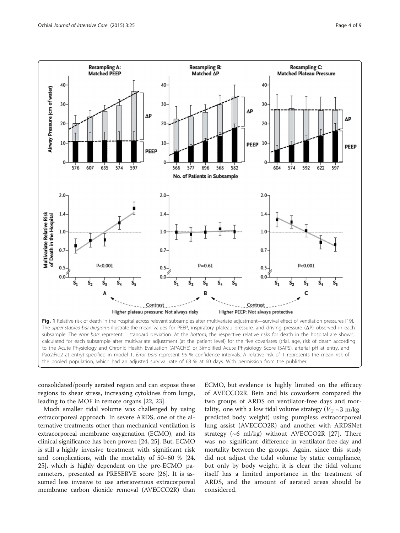<span id="page-3-0"></span>

Fig. 1 Relative risk of death in the hospital across relevant subsamples after multivariate adjustment—survival effect of ventilation pressures [\[19\]](#page-7-0). The upper stacked-bar diagrams illustrate the mean values for PEEP, inspiratory plateau pressure, and driving pressure (ΔP) observed in each subsample. The error bars represent 1 standard deviation. At the bottom, the respective relative risks for death in the hospital are shown, calculated for each subsample after multivariate adjustment (at the patient level) for the five covariates (trial, age, risk of death according to the Acute Physiology and Chronic Health Evaluation (APACHE) or Simplified Acute Physiology Score (SAPS), arterial pH at entry, and Pao2:Fio2 at entry) specified in model 1. Error bars represent 95 % confidence intervals. A relative risk of 1 represents the mean risk of the pooled population, which had an adjusted survival rate of 68 % at 60 days. With permission from the publisher

consolidated/poorly aerated region and can expose these regions to shear stress, increasing cytokines from lungs, leading to the MOF in remote organs [[22, 23](#page-8-0)].

Much smaller tidal volume was challenged by using extracorporeal approach. In severe ARDS, one of the alternative treatments other than mechanical ventilation is extracorporeal membrane oxygenation (ECMO), and its clinical significance has been proven [[24, 25](#page-8-0)]. But, ECMO is still a highly invasive treatment with significant risk and complications, with the mortality of 50–60 % [[24](#page-8-0), [25](#page-8-0)], which is highly dependent on the pre-ECMO parameters, presented as PRESERVE score [\[26\]](#page-8-0). It is assumed less invasive to use arteriovenous extracorporeal membrane carbon dioxide removal (AVECCO2R) than

ECMO, but evidence is highly limited on the efficacy of AVECCO2R. Bein and his coworkers compared the two groups of ARDS on ventilator-free days and mortality, one with a low tidal volume strategy ( $V<sub>T</sub> \sim 3$  m/kgpredicted body weight) using pumpless extracorporeal lung assist (AVECCO2R) and another with ARDSNet strategy (~6 ml/kg) without AVECCO2R [[27](#page-8-0)]. There was no significant difference in ventilator-free-day and mortality between the groups. Again, since this study did not adjust the tidal volume by static compliance, but only by body weight, it is clear the tidal volume itself has a limited importance in the treatment of ARDS, and the amount of aerated areas should be considered.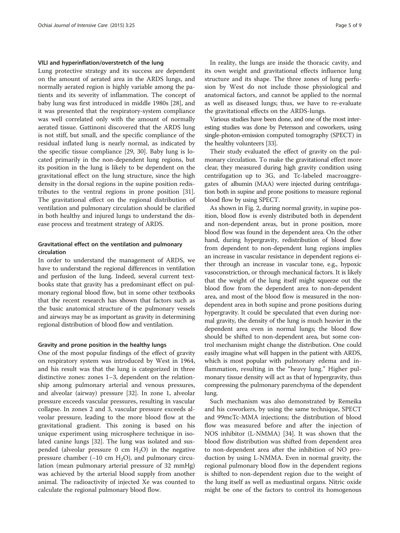#### VILI and hyperinflation/overstretch of the lung

Lung protective strategy and its success are dependent on the amount of aerated area in the ARDS lungs, and normally aerated region is highly variable among the patients and its severity of inflammation. The concept of baby lung was first introduced in middle 1980s [\[28](#page-8-0)], and it was presented that the respiratory-system compliance was well correlated only with the amount of normally aerated tissue. Gattinoni discovered that the ARDS lung is not stiff, but small, and the specific compliance of the residual inflated lung is nearly normal, as indicated by the specific tissue compliance [\[29](#page-8-0), [30](#page-8-0)]. Baby lung is located primarily in the non-dependent lung regions, but its position in the lung is likely to be dependent on the gravitational effect on the lung structure, since the high density in the dorsal regions in the supine position redistributes to the ventral regions in prone position [\[31](#page-8-0)]. The gravitational effect on the regional distribution of ventilation and pulmonary circulation should be clarified in both healthy and injured lungs to understand the disease process and treatment strategy of ARDS.

# Gravitational effect on the ventilation and pulmonary circulation

In order to understand the management of ARDS, we have to understand the regional differences in ventilation and perfusion of the lung. Indeed, several current textbooks state that gravity has a predominant effect on pulmonary regional blood flow, but in some other textbooks that the recent research has shown that factors such as the basic anatomical structure of the pulmonary vessels and airways may be as important as gravity in determining regional distribution of blood flow and ventilation.

### Gravity and prone position in the healthy lungs

One of the most popular findings of the effect of gravity on respiratory system was introduced by West in 1964, and his result was that the lung is categorized in three distinctive zones: zones 1–3, dependent on the relationship among pulmonary arterial and venous pressures, and alveolar (airway) pressure [\[32\]](#page-8-0). In zone 1, alveolar pressure exceeds vascular pressures, resulting in vascular collapse. In zones 2 and 3, vascular pressure exceeds alveolar pressure, leading to the more blood flow at the gravitational gradient. This zoning is based on his unique experiment using microsphere technique in isolated canine lungs [[32\]](#page-8-0). The lung was isolated and suspended (alveolar pressure 0 cm  $H_2O$ ) in the negative pressure chamber ( $-10$  cm H<sub>2</sub>O), and pulmonary circulation (mean pulmonary arterial pressure of 32 mmHg) was achieved by the arterial blood supply from another animal. The radioactivity of injected Xe was counted to calculate the regional pulmonary blood flow.

In reality, the lungs are inside the thoracic cavity, and its own weight and gravitational effects influence lung structure and its shape. The three zones of lung perfusion by West do not include those physiological and anatomical factors, and cannot be applied to the normal as well as diseased lungs; thus, we have to re-evaluate the gravitational effects on the ARDS-lungs.

Various studies have been done, and one of the most interesting studies was done by Petersson and coworkers, using single-photon-emission computed tomography (SPECT) in the healthy volunteers [[33](#page-8-0)].

Their study evaluated the effect of gravity on the pulmonary circulation. To make the gravitational effect more clear, they measured during high gravity condition using centrifugation up to 3G, and Tc-labeled macroaggregates of albumin (MAA) were injected during centrifugation both in supine and prone positions to measure regional blood flow by using SPECT.

As shown in Fig. [2](#page-5-0), during normal gravity, in supine position, blood flow is evenly distributed both in dependent and non-dependent areas, but in prone position, more blood flow was found in the dependent area. On the other hand, during hypergravity, redistribution of blood flow from dependent to non-dependent lung regions implies an increase in vascular resistance in dependent regions either through an increase in vascular tone, e.g., hypoxic vasoconstriction, or through mechanical factors. It is likely that the weight of the lung itself might squeeze out the blood flow from the dependent area to non-dependent area, and most of the blood flow is measured in the nondependent area in both supine and prone positions during hypergravity. It could be speculated that even during normal gravity, the density of the lung is much heavier in the dependent area even in normal lungs; the blood flow should be shifted to non-dependent area, but some control mechanism might change the distribution. One could easily imagine what will happen in the patient with ARDS, which is most popular with pulmonary edema and inflammation, resulting in the "heavy lung." Higher pulmonary tissue density will act as that of hypergravity, thus compressing the pulmonary parenchyma of the dependent lung.

Such mechanism was also demonstrated by Remeika and his coworkers, by using the same technique, SPECT and 99mcTc-MMA injections; the distribution of blood flow was measured before and after the injection of NOS inhibitor (L-NMMA) [[34\]](#page-8-0). It was shown that the blood flow distribution was shifted from dependent area to non-dependent area after the inhibition of NO production by using L-NMMA. Even in normal gravity, the regional pulmonary blood flow in the dependent regions is shifted to non-dependent region due to the weight of the lung itself as well as mediastinal organs. Nitric oxide might be one of the factors to control its homogenous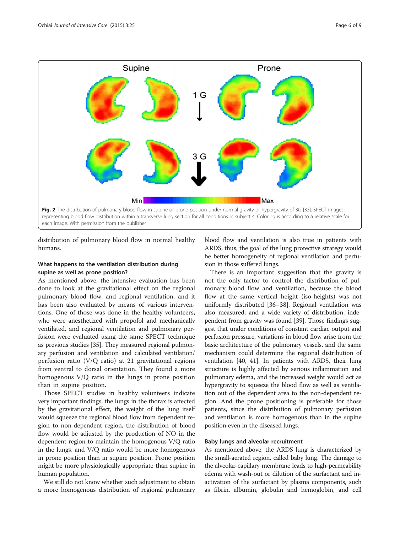<span id="page-5-0"></span>

distribution of pulmonary blood flow in normal healthy humans.

# What happens to the ventilation distribution during supine as well as prone position?

As mentioned above, the intensive evaluation has been done to look at the gravitational effect on the regional pulmonary blood flow, and regional ventilation, and it has been also evaluated by means of various interventions. One of those was done in the healthy volunteers, who were anesthetized with propofol and mechanically ventilated, and regional ventilation and pulmonary perfusion were evaluated using the same SPECT technique as previous studies [\[35\]](#page-8-0). They measured regional pulmonary perfusion and ventilation and calculated ventilation/ perfusion ratio (V/Q ratio) at 21 gravitational regions from ventral to dorsal orientation. They found a more homogenous V/Q ratio in the lungs in prone position than in supine position.

Those SPECT studies in healthy volunteers indicate very important findings; the lungs in the thorax is affected by the gravitational effect, the weight of the lung itself would squeeze the regional blood flow from dependent region to non-dependent region, the distribution of blood flow would be adjusted by the production of NO in the dependent region to maintain the homogenous V/Q ratio in the lungs, and V/Q ratio would be more homogenous in prone position than in supine position. Prone position might be more physiologically appropriate than supine in human population.

We still do not know whether such adjustment to obtain a more homogenous distribution of regional pulmonary blood flow and ventilation is also true in patients with ARDS, thus, the goal of the lung protective strategy would be better homogeneity of regional ventilation and perfusion in those suffered lungs.

There is an important suggestion that the gravity is not the only factor to control the distribution of pulmonary blood flow and ventilation, because the blood flow at the same vertical height (iso-heights) was not uniformly distributed [[36](#page-8-0)–[38\]](#page-8-0). Regional ventilation was also measured, and a wide variety of distribution, independent from gravity was found [[39](#page-8-0)]. Those findings suggest that under conditions of constant cardiac output and perfusion pressure, variations in blood flow arise from the basic architecture of the pulmonary vessels, and the same mechanism could determine the regional distribution of ventilation [\[40, 41\]](#page-8-0). In patients with ARDS, their lung structure is highly affected by serious inflammation and pulmonary edema, and the increased weight would act as hypergravity to squeeze the blood flow as well as ventilation out of the dependent area to the non-dependent region. And the prone positioning is preferable for those patients, since the distribution of pulmonary perfusion and ventilation is more homogenous than in the supine position even in the diseased lungs.

# Baby lungs and alveolar recruitment

As mentioned above, the ARDS lung is characterized by the small-aerated region, called baby lung. The damage to the alveolar-capillary membrane leads to high-permeability edema with wash-out or dilution of the surfactant and inactivation of the surfactant by plasma components, such as fibrin, albumin, globulin and hemoglobin, and cell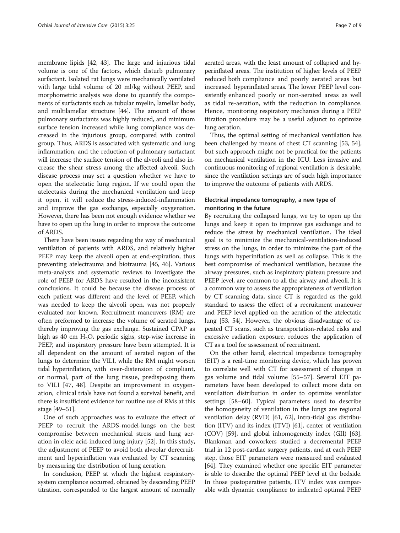membrane lipids [\[42](#page-8-0), [43](#page-8-0)]. The large and injurious tidal volume is one of the factors, which disturb pulmonary surfactant. Isolated rat lungs were mechanically ventilated with large tidal volume of 20 ml/kg without PEEP, and morphometric analysis was done to quantify the components of surfactants such as tubular myelin, lamellar body, and multilamellar structure [\[44\]](#page-8-0). The amount of those pulmonary surfactants was highly reduced, and minimum surface tension increased while lung compliance was decreased in the injurious group, compared with control group. Thus, ARDS is associated with systematic and lung inflammation, and the reduction of pulmonary surfactant will increase the surface tension of the alveoli and also increase the shear stress among the affected alveoli. Such disease process may set a question whether we have to open the atelectatic lung region. If we could open the atelectasis during the mechanical ventilation and keep it open, it will reduce the stress-induced-inflammation and improve the gas exchange, especially oxygenation. However, there has been not enough evidence whether we have to open up the lung in order to improve the outcome of ARDS.

There have been issues regarding the way of mechanical ventilation of patients with ARDS, and relatively higher PEEP may keep the alveoli open at end-expiration, thus preventing atelectrauma and biotrauma [[45](#page-8-0), [46\]](#page-8-0). Various meta-analysis and systematic reviews to investigate the role of PEEP for ARDS have resulted in the inconsistent conclusions. It could be because the disease process of each patient was different and the level of PEEP, which was needed to keep the alveoli open, was not properly evaluated nor known. Recruitment maneuvers (RM) are often preformed to increase the volume of aerated lungs, thereby improving the gas exchange. Sustained CPAP as high as 40 cm  $H_2O$ , periodic sighs, step-wise increase in PEEP, and inspiratory pressure have been attempted. It is all dependent on the amount of aerated region of the lungs to determine the VILI, while the RM might worsen tidal hyperinflation, with over-distension of compliant, or normal, part of the lung tissue, predisposing them to VILI [[47, 48\]](#page-8-0). Despite an improvement in oxygenation, clinical trials have not found a survival benefit, and there is insufficient evidence for routine use of RMs at this stage [\[49](#page-8-0)–[51\]](#page-8-0).

One of such approaches was to evaluate the effect of PEEP to recruit the ARDS-model-lungs on the best compromise between mechanical stress and lung aeration in oleic acid-induced lung injury [\[52](#page-8-0)]. In this study, the adjustment of PEEP to avoid both alveolar derecruitment and hyperinflation was evaluated by CT scanning by measuring the distribution of lung aeration.

In conclusion, PEEP at which the highest respiratorysystem compliance occurred, obtained by descending PEEP titration, corresponded to the largest amount of normally

aerated areas, with the least amount of collapsed and hyperinflated areas. The institution of higher levels of PEEP reduced both compliance and poorly aerated areas but increased hyperinflated areas. The lower PEEP level consistently enhanced poorly or non-aerated areas as well as tidal re-aeration, with the reduction in compliance. Hence, monitoring respiratory mechanics during a PEEP titration procedure may be a useful adjunct to optimize lung aeration.

Thus, the optimal setting of mechanical ventilation has been challenged by means of chest CT scanning [[53](#page-8-0), [54](#page-8-0)], but such approach might not be practical for the patients on mechanical ventilation in the ICU. Less invasive and continuous monitoring of regional ventilation is desirable, since the ventilation settings are of such high importance to improve the outcome of patients with ARDS.

# Electrical impedance tomography, a new type of monitoring in the future

By recruiting the collapsed lungs, we try to open up the lungs and keep it open to improve gas exchange and to reduce the stress by mechanical ventilation. The ideal goal is to minimize the mechanical-ventilation-induced stress on the lungs, in order to minimize the part of the lungs with hyperinflation as well as collapse. This is the best compromise of mechanical ventilation, because the airway pressures, such as inspiratory plateau pressure and PEEP level, are common to all the airway and alveoli. It is a common way to assess the appropriateness of ventilation by CT scanning data, since CT is regarded as the gold standard to assess the effect of a recruitment maneuver and PEEP level applied on the aeration of the atelectatic lung [[53, 54\]](#page-8-0). However, the obvious disadvantage of repeated CT scans, such as transportation-related risks and excessive radiation exposure, reduces the application of CT as a tool for assessment of recruitment.

On the other hand, electrical impedance tomography (EIT) is a real-time monitoring device, which has proven to correlate well with CT for assessment of changes in gas volume and tidal volume [[55](#page-8-0)–[57](#page-8-0)]. Several EIT parameters have been developed to collect more data on ventilation distribution in order to optimize ventilator settings [\[58](#page-8-0)–[60\]](#page-8-0). Typical parameters used to describe the homogeneity of ventilation in the lungs are regional ventilation delay (RVD) [[61](#page-8-0), [62](#page-8-0)], intra-tidal gas distribution (ITV) and its index (ITVI) [[61](#page-8-0)], center of ventilation (COV) [\[59](#page-8-0)], and global inhomogeneity index (GII) [[63](#page-8-0)]. Blankman and coworkers studied a decremental PEEP trial in 12 post-cardiac surgery patients, and at each PEEP step, those EIT parameters were measured and evaluated [[64](#page-8-0)]. They examined whether one specific EIT parameter is able to describe the optimal PEEP level at the bedside. In those postoperative patients, ITV index was comparable with dynamic compliance to indicated optimal PEEP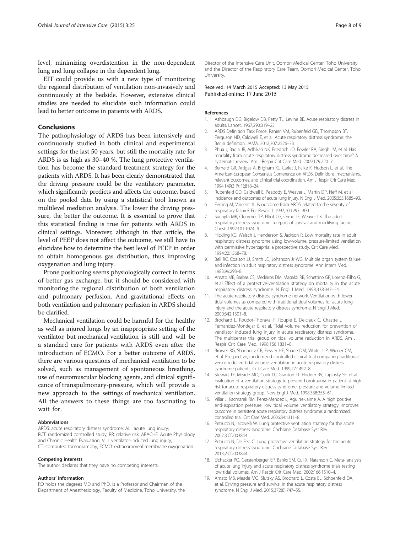<span id="page-7-0"></span>level, minimizing overdistention in the non-dependent lung and lung collapse in the dependent lung.

EIT could provide us with a new type of monitoring the regional distribution of ventilation non-invasively and continuously at the bedside. However, extensive clinical studies are needed to elucidate such information could lead to better outcome in patients with ARDS.

# Conclusions

The pathophysiology of ARDS has been intensively and continuously studied in both clinical and experimental settings for the last 50 years, but still the mortality rate for ARDS is as high as 30–40 %. The lung protective ventilation has become the standard treatment strategy for the patients with ARDS. It has been clearly demonstrated that the driving pressure could be the ventilatory parameter, which significantly predicts and affects the outcome, based on the pooled data by using a statistical tool known as multilevel mediation analysis. The lower the driving pressure, the better the outcome. It is essential to prove that this statistical finding is true for patients with ARDS in clinical settings. Moreover, although in that article, the level of PEEP does not affect the outcome, we still have to elucidate how to determine the best level of PEEP in order to obtain homogenous gas distribution, thus improving oxygenation and lung injury.

Prone positioning seems physiologically correct in terms of better gas exchange, but it should be considered with monitoring the regional distribution of both ventilation and pulmonary perfusion. And gravitational effects on both ventilation and pulmonary perfusion in ARDS should be clarified.

Mechanical ventilation could be harmful for the healthy as well as injured lungs by an inappropriate setting of the ventilator, but mechanical ventilation is still and will be a standard care for patients with ARDS even after the introduction of ECMO. For a better outcome of ARDS, there are various questions of mechanical ventilation to be solved, such as management of spontaneous breathing, use of neuromuscular blocking agents, and clinical significance of transpulmonary-pressure, which will provide a new approach to the settings of mechanical ventilation. All the answers to these things are too fascinating to wait for.

#### Abbreviations

ARDS: acute respiratory distress syndrome; ALI: acute lung injury; RCT: randomized controlled study; RR: relative risk; APACHE: Acute Physiology and Chronic Health Evaluation; VILI: ventilator-induced lung injury; CT: computed tomogramphy; ECMO: extracorporeal membrane oxygenation.

#### Competing interests

The author declares that they have no competing interests.

#### Authors' information

RO holds the degrees MD and PhD, is a Professor and Chairman of the Department of Anesthesiology, Faculty of Medicine, Toho University, the Director of the Intensive Care Unit, Oomori Medical Center, Toho University, and the Director of the Respiratory Care Team, Oomori Medical Center, Toho University.

#### Received: 14 March 2015 Accepted: 13 May 2015 Published online: 17 June 2015

#### References

- 1. Ashbaugh DG, Bigelow DB, Petty TL, Levine BE. Acute respiratory distress in adults. Lancet. 1967;290:319–23.
- 2. ARDS Definition Task Force, Ranieri VM, Rubenfeld GD, Thompson BT, Ferguson ND, Caldwell E, et al. Acute respiratory distress syndrome: the Berlin definition. JAMA. 2012;307:2526–33.
- 3. Phua J, Badia JR, Adhikari NK, Friedrich JO, Fowler RA, Singh JM, et al. Has mortality from acute respiratory distress syndrome decreased over time? A systematic review. Am J Respir Crit Care Med. 2009;179:220–7.
- 4. Bernard GR, Artigas A, Brigham KL, Carlet J, Falke K, Hudson L, et al. The American-European Consensus Conference on ARDS. Definitions, mechanisms, relevant outcomes, and clinical trial coordination. Am J Respir Crit Care Med. 1994;149(3 Pt 1):818–24.
- 5. Rubenfeld GD, Caldwell E, Peabody E, Weaver J, Martin DP, Neff M, et al. Incidence and outcomes of acute lung injury. N Engl J Med. 2005;353:1685–93.
- 6. Ferring M, Vincent JL. Is outcome from ARDS related to the severity of respiratory failure? Eur Respir J. 1997;10:1297–300.
- 7. Suchyta MR, Clemmer TP, Elliot CG, Orme JF, Weaver LK. The adult respiratory distress syndrome: a report of survival and modifying factors. Chest. 1992;101:1074–9.
- 8. Hickling KG, Walsch J, Henderson S, Jackson R. Low mortality rate in adult respiratory distress syndrome using low-volume, pressure-limited ventilation with permissive hypercapnia: a prospective study. Crit Care Med. 1994;22:1568–78.
- Bell RC, Coalson JJ, Smith JD, Johanson Jr WG. Multiple organ system failure and infection in adult respiratory distress syndrome. Ann Intern Med. 1983;99:293–8.
- 10. Amato MB, Barbas CS, Medeiros DM, Magaldi RB, Schettino GP, Lorenzi-Filho G, et al. Effect of a protective-ventilation strategy on mortality in the acute respiratory distress syndrome. N Engl J Med. 1998;338:347–54.
- 11. The acute respiratory distress syndrome network. Ventilation with lower tidal volumes as compared with traditional tidal volumes for acute lung injury and the acute respiratory distress syndrome. N Engl J Med. 2000;342:1301–8.
- 12. Brochard L, Roudot-Thoraval F, Roupie E, Delclaux C, Chastre J, Fernandez-Mondejar E, et al. Tidal volume reduction for prevention of ventilator induced lung injury in acute respiratory distress syndrome. The multicenter trial group on tidal volume reduction in ARDS. Am J Respir Crit Care Med. 1998;158:1831–8.
- 13. Brower RG, Shanholtz CB, Fessler HE, Shade DM, White Jr P, Wiener CM, et al. Prospective, randomized controlled clinical trial comparing traditional versus reduced tidal volume ventilation in acute respiratory distress syndrome patients. Crit Care Med. 1999;27:1492–8.
- 14. Stewart TE, Meade MO, Cook DJ, Granton JT, Hodder RV, Lapinsky SE, et al. Evaluation of a ventilation strategy to prevent barotrauma in patient at high risk for acute respiratory distress syndrome: pressure and volume limited ventilation strategy group. New Engl J Med. 1998;338:355–61.
- 15. Villar J, Kacmarek RM, Perez-Mendez L, Aguirre-Jaime A. A high positive end-expiration pressure, low tidal volume ventilatory strategy improves outcome in persistent acute respiratory distress syndrome: a randomized, controlled trial. Crit Care Med. 2006;34:1311–8.
- 16. Petrucci N, Iacovelli W. Lung protective ventilation strategy for the acute respiratory distress syndrome. Cochrane Database Syst Rev. 2007;3:CD003844.
- 17. Petrucci N, De Feo C. Lung protective ventilation strategy for the acute respiratory distress syndrome. Cochrane Database Syst Rev. 2013;2:CD003844.
- 18. Eichacker PQ, Gerstenberger EP, Banks SM, Cui X, Natanson C. Meta- analysis of acute lung injury and acute respiratory distress syndrome trials testing low tidal volumes. Am J Respir Crit Care Med. 2002;166:1510–4.
- 19. Amato MB, Meade MO, Slutsky AS, Brochard L, Costa EL, Schoenfeld DA, et al. Driving pressure and survival in the acute respiratory distress syndrome. N Engl J Med. 2015;372(8):747–55.